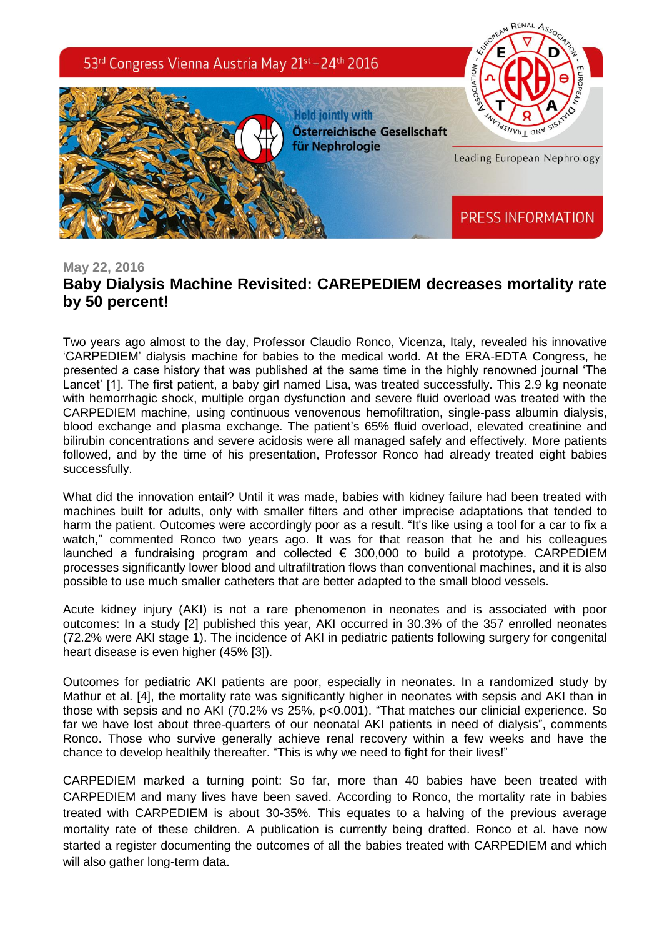

## **May 22, 2016 Baby Dialysis Machine Revisited: CAREPEDIEM decreases mortality rate by 50 percent!**

Two years ago almost to the day, Professor Claudio Ronco, Vicenza, Italy, revealed his innovative 'CARPEDIEM' dialysis machine for babies to the medical world. At the ERA-EDTA Congress, he presented a case history that was published at the same time in the highly renowned journal 'The Lancet' [1]. The first patient, a baby girl named Lisa, was treated successfully. This 2.9 kg neonate with hemorrhagic shock, multiple organ dysfunction and severe fluid overload was treated with the CARPEDIEM machine, using continuous venovenous hemofiltration, single-pass albumin dialysis, blood exchange and plasma exchange. The patient's 65% fluid overload, elevated creatinine and bilirubin concentrations and severe acidosis were all managed safely and effectively. More patients followed, and by the time of his presentation, Professor Ronco had already treated eight babies successfully.

What did the innovation entail? Until it was made, babies with kidney failure had been treated with machines built for adults, only with smaller filters and other imprecise adaptations that tended to harm the patient. Outcomes were accordingly poor as a result. "It's like using a tool for a car to fix a watch," commented Ronco two years ago. It was for that reason that he and his colleagues launched a fundraising program and collected  $\epsilon$  300,000 to build a prototype. CARPEDIEM processes significantly lower blood and ultrafiltration flows than conventional machines, and it is also possible to use much smaller catheters that are better adapted to the small blood vessels.

Acute kidney injury (AKI) is not a rare phenomenon in neonates and is associated with poor outcomes: In a study [2] published this year, AKI occurred in 30.3% of the 357 enrolled neonates (72.2% were AKI stage 1). The incidence of AKI in pediatric patients following surgery for congenital heart disease is even higher (45% [3]).

Outcomes for pediatric AKI patients are poor, especially in neonates. In a randomized study by Mathur et al. [4], the mortality rate was significantly higher in neonates with sepsis and AKI than in those with sepsis and no AKI (70.2% vs 25%, p<0.001). "That matches our clinicial experience. So far we have lost about three-quarters of our neonatal AKI patients in need of dialysis", comments Ronco. Those who survive generally achieve renal recovery within a few weeks and have the chance to develop healthily thereafter. "This is why we need to fight for their lives!"

CARPEDIEM marked a turning point: So far, more than 40 babies have been treated with CARPEDIEM and many lives have been saved. According to Ronco, the mortality rate in babies treated with CARPEDIEM is about 30-35%. This equates to a halving of the previous average mortality rate of these children. A publication is currently being drafted. Ronco et al. have now started a register documenting the outcomes of all the babies treated with CARPEDIEM and which will also gather long-term data.